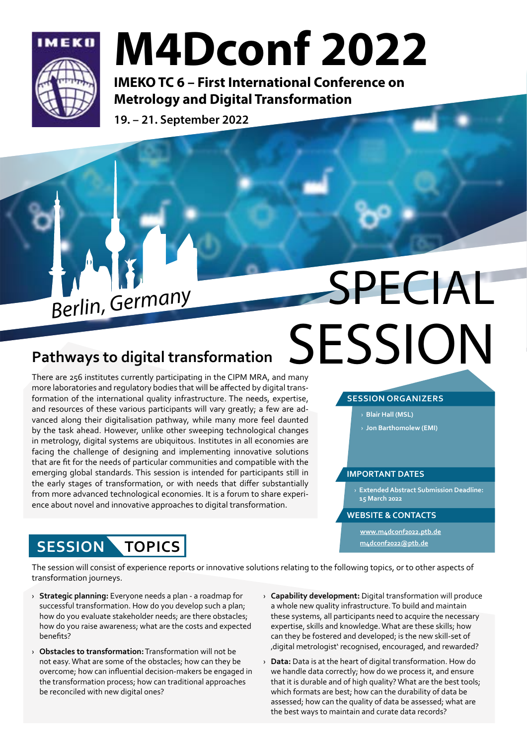

## M4Dconf 2022

IMEKO TC 6 – First International Conference on Metrology and Digital Transformation

19. – 21. September 2022

### **Pathways to digital transformation**

There are 256 institutes currently participating in the CIPM MRA, and many more laboratories and regulatory bodies that will be affected by digital transformation of the international quality infrastructure. The needs, expertise, and resources of these various participants will vary greatly; a few are advanced along their digitalisation pathway, while many more feel daunted by the task ahead. However, unlike other sweeping technological changes in metrology, digital systems are ubiquitous. Institutes in all economies are facing the challenge of designing and implementing innovative solutions that are fit for the needs of particular communities and compatible with the emerging global standards. This session is intended for participants still in the early stages of transformation, or with needs that differ substantially from more advanced technological economies. It is a forum to share experience about novel and innovative approaches to digital transformation.

# **Berlin, Germany** SPECIAL **SESSION**

### **SESSION ORGANIZERS**

- › **Blair Hall (MSL)**
- › **Jon Barthomolew (EMI)**

### **IMPORTANT DATES**

› **Extended Abstract Submission Deadline: 15 March 2022**

#### **WEBSITE & CONTACTS**

**[www.m4dconf2022.ptb.de](https://www.m4dconf2022.ptb.de/author-information#c2271) [m4dconf2022@ptb.de](mailto:m4dconf2022%40ptb.de?subject=)**

The session will consist of experience reports or innovative solutions relating to the following topics, or to other aspects of transformation journeys.

› **Strategic planning:** Everyone needs a plan - a roadmap for successful transformation. How do you develop such a plan; how do you evaluate stakeholder needs; are there obstacles; how do you raise awareness; what are the costs and expected benefits?

**SESSION TOPICS**

- › **Obstacles to transformation:** Transformation will not be not easy. What are some of the obstacles; how can they be overcome; how can influential decision-makers be engaged in the transformation process; how can traditional approaches be reconciled with new digital ones?
- › **Capability development:** Digital transformation will produce a whole new quality infrastructure. To build and maintain these systems, all participants need to acquire the necessary expertise, skills and knowledge. What are these skills; how can they be fostered and developed; is the new skill-set of 'digital metrologist' recognised, encouraged, and rewarded?
- › **Data:** Data is at the heart of digital transformation. How do we handle data correctly; how do we process it, and ensure that it is durable and of high quality? What are the best tools; which formats are best; how can the durability of data be assessed; how can the quality of data be assessed; what are the best ways to maintain and curate data records?